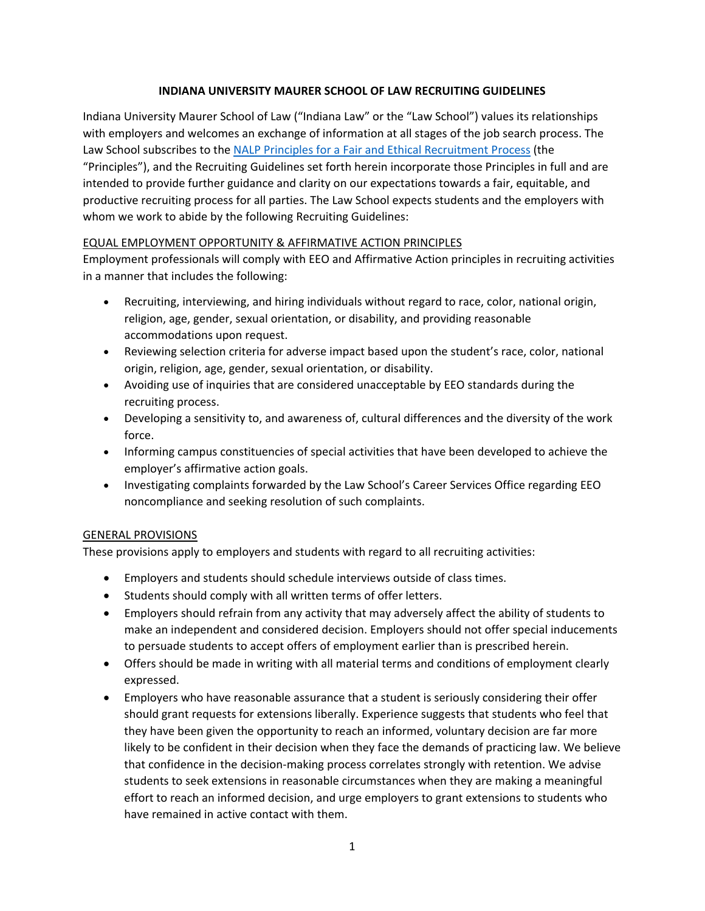### **INDIANA UNIVERSITY MAURER SCHOOL OF LAW RECRUITING GUIDELINES**

Indiana University Maurer School of Law ("Indiana Law" or the "Law School") values its relationships with employers and welcomes an exchange of information at all stages of the job search process. The Law School subscribes to the [NALP Principles for a Fair and Ethical Recruitment Process](https://www.nalp.org/uploads/PFERP/Principles_Full_Mailing_12-2018--.pdf) (the "Principles"), and the Recruiting Guidelines set forth herein incorporate those Principles in full and are intended to provide further guidance and clarity on our expectations towards a fair, equitable, and productive recruiting process for all parties. The Law School expects students and the employers with whom we work to abide by the following Recruiting Guidelines:

### EQUAL EMPLOYMENT OPPORTUNITY & AFFIRMATIVE ACTION PRINCIPLES

Employment professionals will comply with EEO and Affirmative Action principles in recruiting activities in a manner that includes the following:

- Recruiting, interviewing, and hiring individuals without regard to race, color, national origin, religion, age, gender, sexual orientation, or disability, and providing reasonable accommodations upon request.
- Reviewing selection criteria for adverse impact based upon the student's race, color, national origin, religion, age, gender, sexual orientation, or disability.
- Avoiding use of inquiries that are considered unacceptable by EEO standards during the recruiting process.
- Developing a sensitivity to, and awareness of, cultural differences and the diversity of the work force.
- Informing campus constituencies of special activities that have been developed to achieve the employer's affirmative action goals.
- Investigating complaints forwarded by the Law School's Career Services Office regarding EEO noncompliance and seeking resolution of such complaints.

# GENERAL PROVISIONS

These provisions apply to employers and students with regard to all recruiting activities:

- Employers and students should schedule interviews outside of class times.
- Students should comply with all written terms of offer letters.
- Employers should refrain from any activity that may adversely affect the ability of students to make an independent and considered decision. Employers should not offer special inducements to persuade students to accept offers of employment earlier than is prescribed herein.
- Offers should be made in writing with all material terms and conditions of employment clearly expressed.
- Employers who have reasonable assurance that a student is seriously considering their offer should grant requests for extensions liberally. Experience suggests that students who feel that they have been given the opportunity to reach an informed, voluntary decision are far more likely to be confident in their decision when they face the demands of practicing law. We believe that confidence in the decision-making process correlates strongly with retention. We advise students to seek extensions in reasonable circumstances when they are making a meaningful effort to reach an informed decision, and urge employers to grant extensions to students who have remained in active contact with them.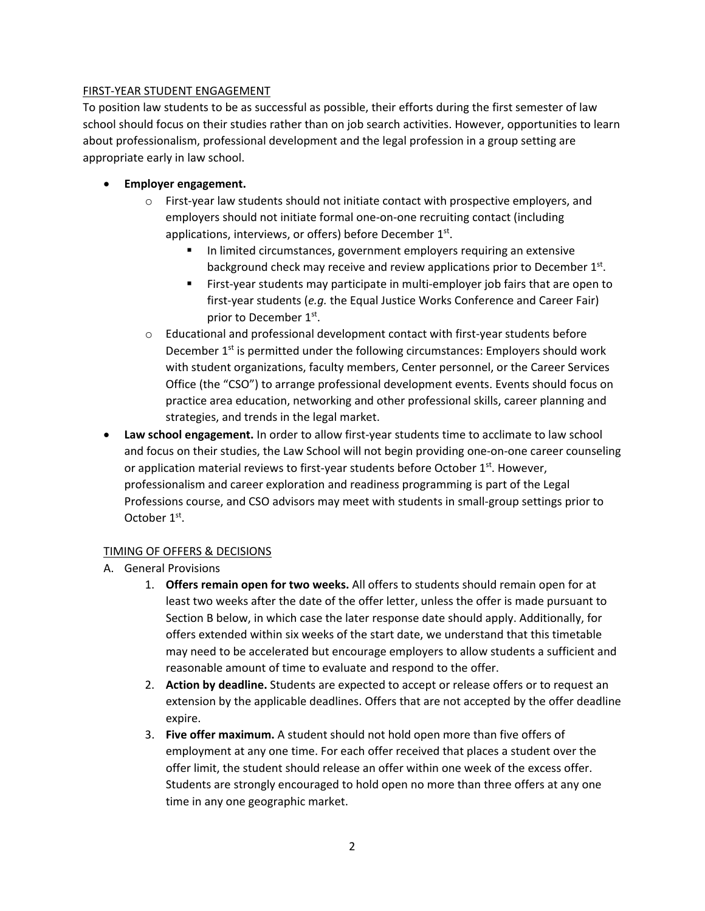#### FIRST-YEAR STUDENT ENGAGEMENT

To position law students to be as successful as possible, their efforts during the first semester of law school should focus on their studies rather than on job search activities. However, opportunities to learn about professionalism, professional development and the legal profession in a group setting are appropriate early in law school.

- **Employer engagement.**
	- $\circ$  First-year law students should not initiate contact with prospective employers, and employers should not initiate formal one-on-one recruiting contact (including applications, interviews, or offers) before December  $1<sup>st</sup>$ .
		- In limited circumstances, government employers requiring an extensive background check may receive and review applications prior to December 1st.
		- **First-year students may participate in multi-employer job fairs that are open to** first-year students (*e.g.* the Equal Justice Works Conference and Career Fair) prior to December 1st.
	- $\circ$  Educational and professional development contact with first-year students before December  $1<sup>st</sup>$  is permitted under the following circumstances: Employers should work with student organizations, faculty members, Center personnel, or the Career Services Office (the "CSO") to arrange professional development events. Events should focus on practice area education, networking and other professional skills, career planning and strategies, and trends in the legal market.
- **Law school engagement.** In order to allow first-year students time to acclimate to law school and focus on their studies, the Law School will not begin providing one-on-one career counseling or application material reviews to first-year students before October 1<sup>st</sup>. However, professionalism and career exploration and readiness programming is part of the Legal Professions course, and CSO advisors may meet with students in small-group settings prior to October 1<sup>st</sup>.

# TIMING OF OFFERS & DECISIONS

- A. General Provisions
	- 1. **Offers remain open for two weeks.** All offers to students should remain open for at least two weeks after the date of the offer letter, unless the offer is made pursuant to Section B below, in which case the later response date should apply. Additionally, for offers extended within six weeks of the start date, we understand that this timetable may need to be accelerated but encourage employers to allow students a sufficient and reasonable amount of time to evaluate and respond to the offer.
	- 2. **Action by deadline.** Students are expected to accept or release offers or to request an extension by the applicable deadlines. Offers that are not accepted by the offer deadline expire.
	- 3. **Five offer maximum.** A student should not hold open more than five offers of employment at any one time. For each offer received that places a student over the offer limit, the student should release an offer within one week of the excess offer. Students are strongly encouraged to hold open no more than three offers at any one time in any one geographic market.